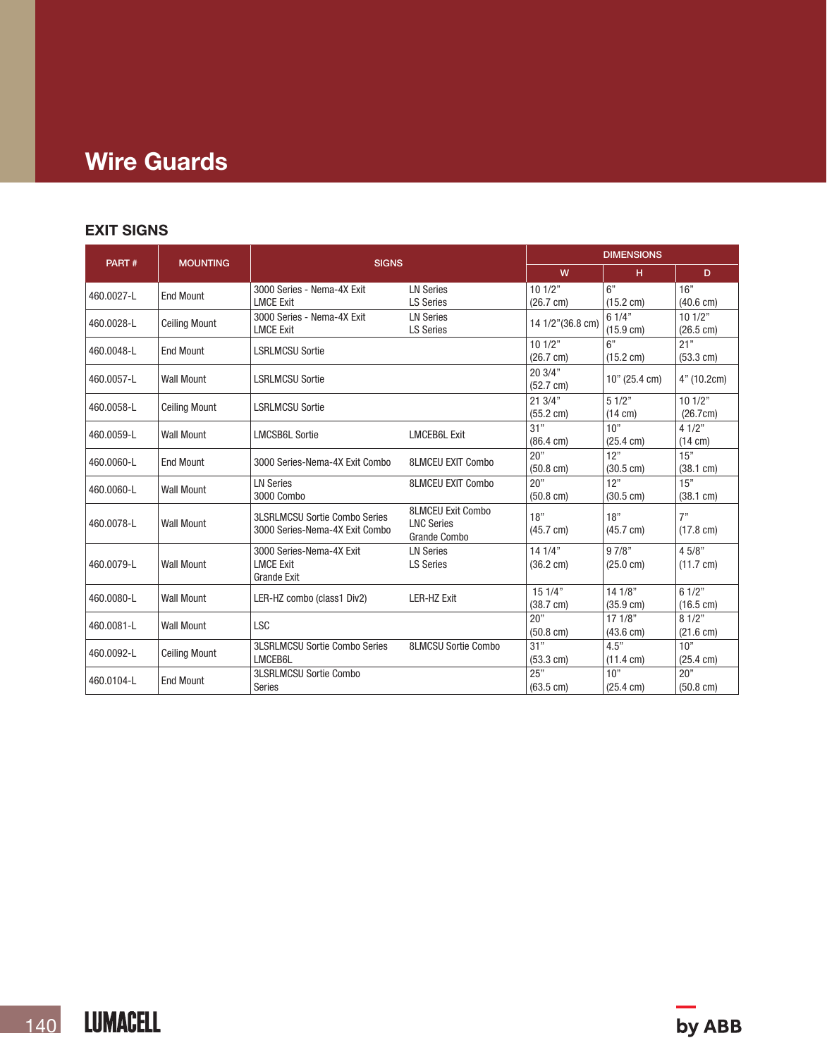# Wire Guards

## EXIT SIGNS

|            | <b>MOUNTING</b>      |                                                | <b>DIMENSIONS</b>                 |                     |                     |                     |
|------------|----------------------|------------------------------------------------|-----------------------------------|---------------------|---------------------|---------------------|
| PART#      |                      | <b>SIGNS</b>                                   | W                                 | H                   | D.                  |                     |
| 460.0027-L | <b>End Mount</b>     | 3000 Series - Nema-4X Exit                     | <b>LN Series</b>                  | 101/2"              | 6"                  | 16"                 |
|            |                      | <b>LMCE Exit</b>                               | <b>LS Series</b>                  | $(26.7 \text{ cm})$ | $(15.2 \text{ cm})$ | $(40.6 \text{ cm})$ |
| 460.0028-L | <b>Ceiling Mount</b> | 3000 Series - Nema-4X Exit<br><b>LN Series</b> |                                   | 14 1/2"(36.8 cm)    | 61/4"               | 101/2"              |
|            |                      | <b>LMCE Exit</b>                               | <b>LS Series</b>                  |                     | $(15.9 \text{ cm})$ | $(26.5 \text{ cm})$ |
| 460.0048-L | <b>End Mount</b>     | <b>LSRLMCSU Sortie</b>                         |                                   | 101/2"              | 6"                  | 21"                 |
|            |                      |                                                |                                   | $(26.7 \text{ cm})$ | $(15.2 \text{ cm})$ | $(53.3 \text{ cm})$ |
| 460.0057-L | <b>Wall Mount</b>    | <b>LSRLMCSU Sortie</b>                         |                                   | 20.3/4"             | $10"$ (25.4 cm)     | 4" (10.2cm)         |
|            |                      |                                                |                                   | $(52.7 \text{ cm})$ |                     |                     |
| 460.0058-L | <b>Ceiling Mount</b> | <b>LSRLMCSU Sortie</b>                         |                                   | 213/4"              | 51/2"               | 101/2"              |
|            |                      |                                                |                                   | $(55.2 \text{ cm})$ | $(14 \text{ cm})$   | (26.7cm)            |
| 460.0059-L | <b>Wall Mount</b>    | <b>LMCSB6L Sortie</b>                          | <b>LMCEB6L Exit</b>               | 31"                 | 10"                 | 41/2"               |
|            |                      |                                                |                                   | $(86.4 \text{ cm})$ | $(25.4 \text{ cm})$ | $(14 \text{ cm})$   |
| 460.0060-L | <b>End Mount</b>     | 3000 Series-Nema-4X Exit Combo                 | <b>8LMCEU EXIT Combo</b>          | 20"                 | 12"                 | 15"                 |
|            |                      |                                                |                                   | $(50.8 \text{ cm})$ | $(30.5 \text{ cm})$ | $(38.1 \text{ cm})$ |
| 460.0060-L | <b>Wall Mount</b>    | <b>LN Series</b>                               | <b>8LMCEU EXIT Combo</b>          | 20"                 | 12"                 | 15"                 |
|            |                      | 3000 Combo                                     |                                   | $(50.8 \text{ cm})$ | $(30.5 \text{ cm})$ | $(38.1 \text{ cm})$ |
|            |                      | <b>3LSRLMCSU Sortie Combo Series</b>           | <b>8LMCEU Exit Combo</b>          | 18"                 | 18"                 | 7"                  |
| 460.0078-L | <b>Wall Mount</b>    | 3000 Series-Nema-4X Exit Combo                 | <b>LNC Series</b><br>Grande Combo | $(45.7 \text{ cm})$ | $(45.7 \text{ cm})$ | $(17.8 \text{ cm})$ |
|            |                      | 3000 Series-Nema-4X Exit                       | <b>LN Series</b>                  | 14.1/4"             | 97/8"               | 4 5/8"              |
| 460.0079-L | <b>Wall Mount</b>    | <b>LMCE Exit</b>                               | <b>LS Series</b>                  | $(36.2 \text{ cm})$ | $(25.0 \text{ cm})$ | $(11.7 \text{ cm})$ |
|            |                      | <b>Grande Exit</b>                             |                                   |                     |                     |                     |
| 460.0080-L | <b>Wall Mount</b>    | LER-HZ combo (class1 Div2)                     | <b>LER-HZ Exit</b>                | 151/4"              | 141/8"              | 61/2"               |
|            |                      |                                                |                                   | $(38.7 \text{ cm})$ | $(35.9 \text{ cm})$ | $(16.5 \text{ cm})$ |
|            | <b>Wall Mount</b>    |                                                |                                   | 20"                 | 171/8"              | 81/2"               |
| 460.0081-L |                      | <b>LSC</b>                                     |                                   | $(50.8 \text{ cm})$ | $(43.6 \text{ cm})$ | $(21.6 \text{ cm})$ |
| 460.0092-L | <b>Ceiling Mount</b> | <b>3LSRLMCSU Sortie Combo Series</b>           | 8LMCSU Sortie Combo               | 31"                 | 4.5"                | 10"                 |
|            |                      | LMCEB6L                                        |                                   | $(53.3 \text{ cm})$ | $(11.4 \text{ cm})$ | $(25.4 \text{ cm})$ |
|            | <b>End Mount</b>     | <b>3LSRLMCSU Sortie Combo</b>                  |                                   | 25"                 | 10"                 | 20"                 |
| 460.0104-L |                      | Series                                         |                                   | $(63.5 \text{ cm})$ | $(25.4 \text{ cm})$ | $(50.8 \text{ cm})$ |